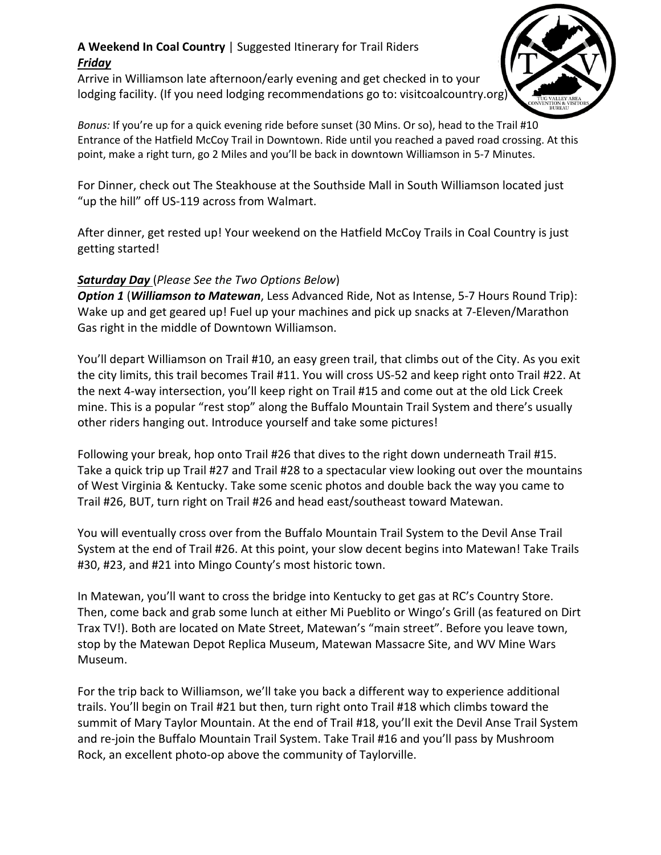## **A Weekend In Coal Country** | Suggested Itinerary for Trail Riders *Friday*

Arrive in Williamson late afternoon/early evening and get checked in to your lodging facility. (If you need lodging recommendations go to: visitcoalcountry.org)



*Bonus:* If you're up for a quick evening ride before sunset (30 Mins. Or so), head to the Trail #10 Entrance of the Hatfield McCoy Trail in Downtown. Ride until you reached a paved road crossing. At this point, make a right turn, go 2 Miles and you'll be back in downtown Williamson in 5-7 Minutes.

For Dinner, check out The Steakhouse at the Southside Mall in South Williamson located just "up the hill" off US-119 across from Walmart.

After dinner, get rested up! Your weekend on the Hatfield McCoy Trails in Coal Country is just getting started!

## *Saturday Day* (*Please See the Two Options Below*)

*Option 1* (*Williamson to Matewan*, Less Advanced Ride, Not as Intense, 5-7 Hours Round Trip): Wake up and get geared up! Fuel up your machines and pick up snacks at 7-Eleven/Marathon Gas right in the middle of Downtown Williamson.

You'll depart Williamson on Trail #10, an easy green trail, that climbs out of the City. As you exit the city limits, this trail becomes Trail #11. You will cross US-52 and keep right onto Trail #22. At the next 4-way intersection, you'll keep right on Trail #15 and come out at the old Lick Creek mine. This is a popular "rest stop" along the Buffalo Mountain Trail System and there's usually other riders hanging out. Introduce yourself and take some pictures!

Following your break, hop onto Trail #26 that dives to the right down underneath Trail #15. Take a quick trip up Trail #27 and Trail #28 to a spectacular view looking out over the mountains of West Virginia & Kentucky. Take some scenic photos and double back the way you came to Trail #26, BUT, turn right on Trail #26 and head east/southeast toward Matewan.

You will eventually cross over from the Buffalo Mountain Trail System to the Devil Anse Trail System at the end of Trail #26. At this point, your slow decent begins into Matewan! Take Trails #30, #23, and #21 into Mingo County's most historic town.

In Matewan, you'll want to cross the bridge into Kentucky to get gas at RC's Country Store. Then, come back and grab some lunch at either Mi Pueblito or Wingo's Grill (as featured on Dirt Trax TV!). Both are located on Mate Street, Matewan's "main street". Before you leave town, stop by the Matewan Depot Replica Museum, Matewan Massacre Site, and WV Mine Wars Museum.

For the trip back to Williamson, we'll take you back a different way to experience additional trails. You'll begin on Trail #21 but then, turn right onto Trail #18 which climbs toward the summit of Mary Taylor Mountain. At the end of Trail #18, you'll exit the Devil Anse Trail System and re-join the Buffalo Mountain Trail System. Take Trail #16 and you'll pass by Mushroom Rock, an excellent photo-op above the community of Taylorville.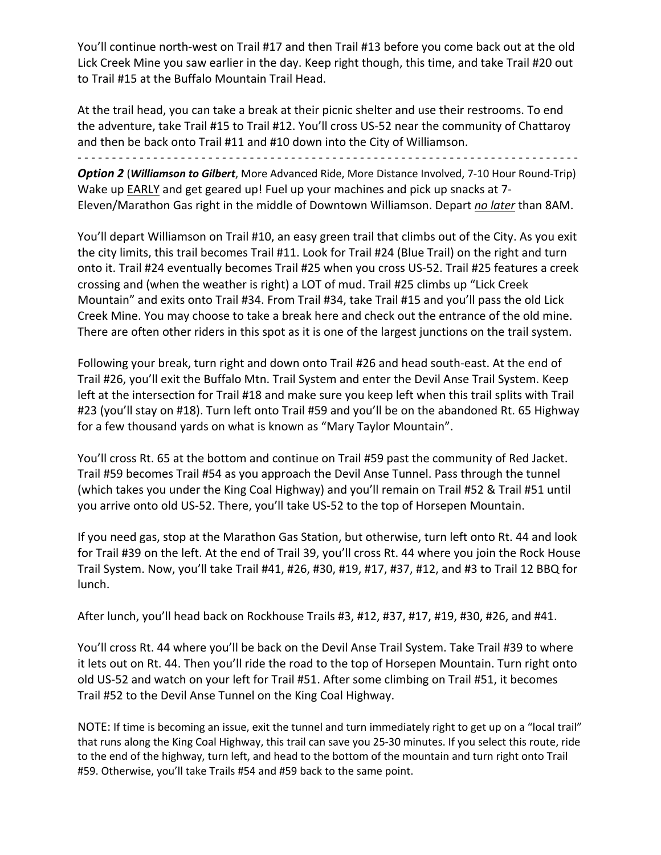You'll continue north-west on Trail #17 and then Trail #13 before you come back out at the old Lick Creek Mine you saw earlier in the day. Keep right though, this time, and take Trail #20 out to Trail #15 at the Buffalo Mountain Trail Head.

At the trail head, you can take a break at their picnic shelter and use their restrooms. To end the adventure, take Trail #15 to Trail #12. You'll cross US-52 near the community of Chattaroy and then be back onto Trail #11 and #10 down into the City of Williamson.

- - - - - - - - - - - - - - - - - - - - - - - - - - - - - - - - - - - - - - - - - - - - - - - - - - - - - - - - - - - - - - - - - - - - - - - - -

*Option 2* (*Williamson to Gilbert*, More Advanced Ride, More Distance Involved, 7-10 Hour Round-Trip) Wake up EARLY and get geared up! Fuel up your machines and pick up snacks at 7- Eleven/Marathon Gas right in the middle of Downtown Williamson. Depart *no later* than 8AM.

You'll depart Williamson on Trail #10, an easy green trail that climbs out of the City. As you exit the city limits, this trail becomes Trail #11. Look for Trail #24 (Blue Trail) on the right and turn onto it. Trail #24 eventually becomes Trail #25 when you cross US-52. Trail #25 features a creek crossing and (when the weather is right) a LOT of mud. Trail #25 climbs up "Lick Creek Mountain" and exits onto Trail #34. From Trail #34, take Trail #15 and you'll pass the old Lick Creek Mine. You may choose to take a break here and check out the entrance of the old mine. There are often other riders in this spot as it is one of the largest junctions on the trail system.

Following your break, turn right and down onto Trail #26 and head south-east. At the end of Trail #26, you'll exit the Buffalo Mtn. Trail System and enter the Devil Anse Trail System. Keep left at the intersection for Trail #18 and make sure you keep left when this trail splits with Trail #23 (you'll stay on #18). Turn left onto Trail #59 and you'll be on the abandoned Rt. 65 Highway for a few thousand yards on what is known as "Mary Taylor Mountain".

You'll cross Rt. 65 at the bottom and continue on Trail #59 past the community of Red Jacket. Trail #59 becomes Trail #54 as you approach the Devil Anse Tunnel. Pass through the tunnel (which takes you under the King Coal Highway) and you'll remain on Trail #52 & Trail #51 until you arrive onto old US-52. There, you'll take US-52 to the top of Horsepen Mountain.

If you need gas, stop at the Marathon Gas Station, but otherwise, turn left onto Rt. 44 and look for Trail #39 on the left. At the end of Trail 39, you'll cross Rt. 44 where you join the Rock House Trail System. Now, you'll take Trail #41, #26, #30, #19, #17, #37, #12, and #3 to Trail 12 BBQ for lunch.

After lunch, you'll head back on Rockhouse Trails #3, #12, #37, #17, #19, #30, #26, and #41.

You'll cross Rt. 44 where you'll be back on the Devil Anse Trail System. Take Trail #39 to where it lets out on Rt. 44. Then you'll ride the road to the top of Horsepen Mountain. Turn right onto old US-52 and watch on your left for Trail #51. After some climbing on Trail #51, it becomes Trail #52 to the Devil Anse Tunnel on the King Coal Highway.

NOTE: If time is becoming an issue, exit the tunnel and turn immediately right to get up on a "local trail" that runs along the King Coal Highway, this trail can save you 25-30 minutes. If you select this route, ride to the end of the highway, turn left, and head to the bottom of the mountain and turn right onto Trail #59. Otherwise, you'll take Trails #54 and #59 back to the same point.